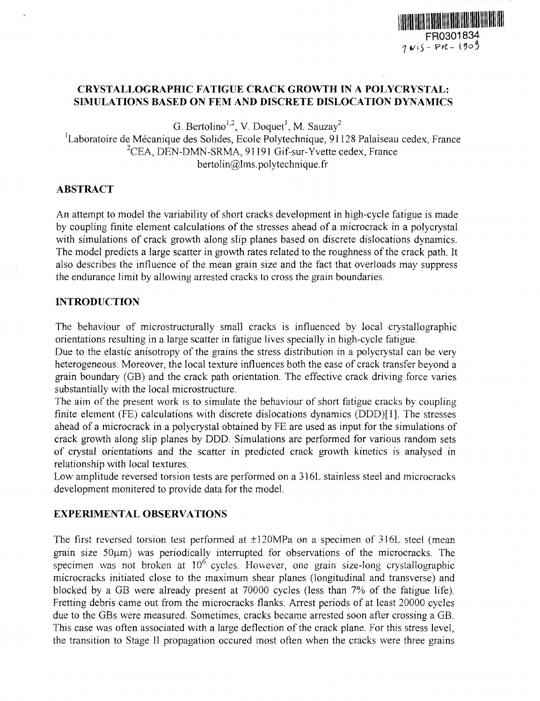## **CRYSTALLOGRAPHIC FATIGUE CRACK GROWTH IN A POLYCRYSTAL: SIMULATIONS BASED ON FEM AND DISCRETE DISLOCATION DYNAMICS**

G. Bertolino<sup>1,2</sup>, V. Doquet<sup>1</sup>, M. Sauzay<sup>2</sup>

<sup>1</sup>Laboratoire de Mécanique des Solides, Ecole Polytechnique, 91128 Palaiseau cedex, France  ${}^{2}$ CEA, DEN-DMN-SRMA, 91191 Gif-sur-Yvette cedex, France  $beta@lms.polytechnique.fr$ 

## **ABSTRACT**

An attempt to model the variability of short cracks development in high-cycle fatigue is made by coupling finite element calculations of the stresses ahead of a microcrack in a polycrystal with simulations of crack growth along slip planes based on discrete dislocations dynamics. The model predicts a large scatter in growth rates related to the roughness of the crack path. It also describes the influence of the mean grain size and the fact that overloads may suppress the endurance limit by allowing arrested cracks to cross the grain boundaries.

# **INTRODUCTION**

The behaviour of microstructurally small cracks is influenced by local crystallographic orientations resulting in a large scatter in fatigue lives specially in high-cycle fatigue.

Due to the elastic anisotropy of the grains the stress distribution in a polycrystal can be very heterogeneous. Moreover, the local texture influences both the ease of crack transfer beyond a grain boundary (GB) and the crack path orientation. The effective crack driving force varies substantially with the local microstructure.

The aim of the present work is to simulate the behaviour of short fatigue cracks by coupling finite element (FE) calculations with discrete dislocations dynamics (DDD)[1]. The stresses ahead of a microcrack in a polycrystal obtained by FE are used as input for the simulations of crack growth along slip planes by DDD. Simulations are performed for various random sets of crystal orientations and the scatter in predicted crack growth kinetics is analysed **in** relationship with local textures.

Low amplitude reversed torsion tests are performed on a 316L stainless steel and microcracks development monitered to provide data for the model.

# **EXPERIMENTAL OBSERVATIONS**

The first reversed torsion test performed at  $\pm 120 \text{MPa}$  on a specimen of 316L steel (mean grain size  $50\mu$ m) was periodically interrupted for observations of the microcracks. The specimen was not broken at  $10^6$  cycles. However, one grain size-long crystallographic microcracks initiated close to the maximum shear planes (longitudinal and transverse) and blocked by a GB were already present at 70000 cycles (less than 7% of the fatigue life). Fretting debris came out from the microcracks flanks. Arrest periods of at least 20000 cycles due to the GBs were measured. Sometimes, cracks became arrested soon after crossing a GB. This case was often associated with a large deflection of the crack plane. For this stress level, the transition to Stage 11 propagation occured most often when the cracks were three grains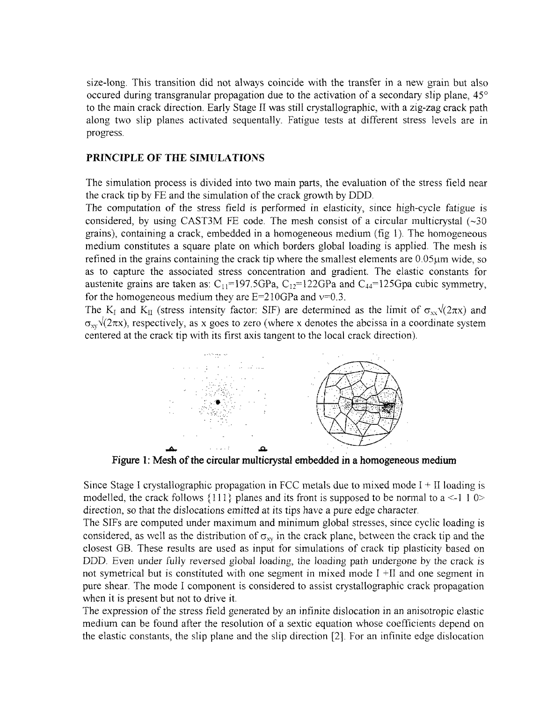size-long. This transition did not always coincide with the transfer in a new grain but also occured during transgranular propagation due to the activation of a secondary slip plane,  $45^{\circ}$ to the main crack direction. Early Stage 11 was still crystallographic, with a zig-zag crack path along two slip planes activated sequentally. Fatigue tests at different stress levels are in progress.

## **PRINCIPLE** OF **THE SIMULATIONS**

The simulation process is divided into two main parts, the evaluation of the stress field near the crack tip by FE and the simulation of the crack growth by DDD.

The computation of the stress field is performed in elasticity, since hgh-cycle fatigue is considered, by using CAST3M FE code. The mesh consist of a circular multicrystal  $(\sim]30$ grains), containing a crack, embedded in a homogeneous medium (fig 1). The homogeneous medium constitutes a square plate on which borders global loading is applied. The mesh is refined in the grains containing the crack tip where the smallest elements are  $0.05\mu m$  wide, so as to capture the associated stress concentration and gradient. The elastic constants for austenite grains are taken as:  $C_{11}=197.5GPa$ ,  $C_{12}=122GPa$  and  $C_{44}=125Gpa$  cubic symmetry, for the homogeneous medium they are  $E=210GPa$  and  $v=0.3$ .

The K<sub>I</sub> and K<sub>II</sub> (stress intensity factor: SIF) are determined as the limit of  $\sigma_{xx} \sqrt{(2\pi x)}$  and  $\sigma_{xy}$  $\sqrt{(2\pi x)}$ , respectively, as x goes to zero (where x denotes the abcissa in a coordinate system centered at the crack tip with its first axis tangent to the local crack direction).



**Figure 1: Mesh of the circular multicrystal embedded in a homogeneous medium**

Since Stage I crystallographic propagation in FCC metals due to mixed mode  $I + II$  loading is modelled, the crack follows  $\{111\}$  planes and its front is supposed to be normal to a <-1 1 0> direction, so that the dislocations emitted at its tips have a pure edge character.

The SlFs are computed under maximum and minimum global stresses, since cyclic loading is considered, as well as the distribution of  $\sigma_{xy}$  in the crack plane, between the crack tip and the closest B. These results are used as input for simulations of crack tip plasticity based on DDD. Even under fully reversed global loading, the loading path undergone by the crack is not symetrical but is constituted with one segment in mixed mode I  $+II$  and one segment in pure shear. The mode I component is considered to assist crystallographic crack propagation when it is present but not to drive it.

The expression of the stress field generated by an infinite dislocation in an anisotropic elastic medium can be found after the resolution of a sextic equation whose coefficients depend on the elastic constants, the slip plane and the slip direction  $[2]$ . For an infinite edge dislocation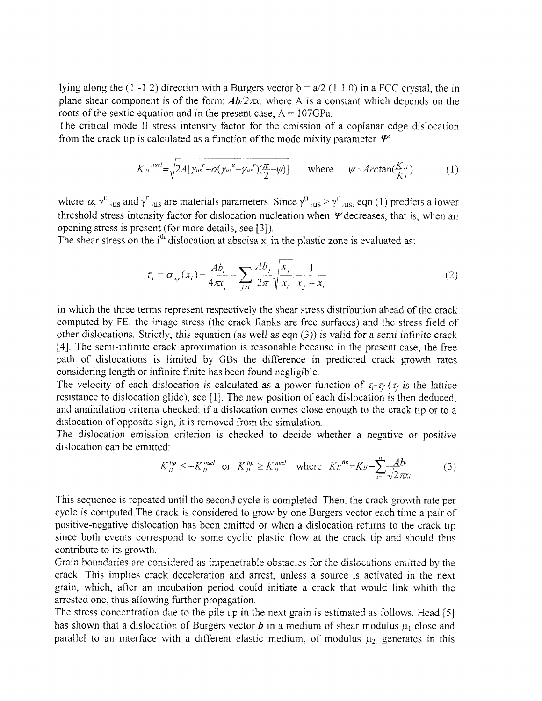lying along the (1-12) direction with a Burgers vector  $b = a/2$  (1 1 0) in a FCC crystal, the in plane shear component is of the form:  $Ab/2\pi x$ , where A is a constant which depends on the roots of the sextic equation and in the present case,  $A = 107GPa$ .

The critical mode II stress intensity factor for the emission of a coplanar edge dislocation from the crack tip is calculated as a function of the mode mixity parameter  $\Psi$ .

$$
K_{\mu}^{\text{nucl}} = \sqrt{2A[\gamma_{us}^{\ \ r} - \alpha(\gamma_{us}^{\ \ u} - \gamma_{us}^{\ \ r})(\frac{\pi}{2} - \psi)]} \qquad \text{where} \qquad \psi = \text{Arctan}(\frac{K_{\mu}}{K_{\mu}}) \tag{1}
$$

where  $\alpha$ ,  $\gamma^{\mu}$ , us and  $\gamma^{\tau}$ , us are materials parameters. Since  $\gamma^{\mu}$ , us  $\gamma^{\tau}$ , us, eqn (1) predicts a lower threshold stress intensity factor for dislocation nucleation when  $\Psi$  decreases, that is, when an opening stress is present (for more details, see [3]).

The shear stress on the  $i<sup>th</sup>$  dislocation at abscisa  $x_i$  in the plastic zone is evaluated as:

$$
\tau_i = \sigma_{xy}(x_i) - \frac{Ab_i}{4\pi x_i} - \sum_{j \neq i} \frac{Ab_j}{2\pi} \sqrt{\frac{x_j}{x_i} \cdot \frac{1}{x_j - x_i}}
$$
(2)

in which the three terms represent respectively the shear stress distribution ahead of the crack computed by FE, the image stress (the crack flanks are free surfaces) and the stress field of other dislocations. Strictly, this equation (as well as eqn  $(3)$ ) is valid for a semi infinite crack [4]. The semi-infinite crack aproximation is reasonable because in the present case, the free path of dislocations is limited by GBs the difference in predicted crack growth rates considering length or infinite finite has been found negligible.

The velocity of each dislocation is calculated as a power function of  $\tau_i$ - $\tau_f$  ( $\tau_f$  is the lattice resistance to dislocation glide), see [1]. The new position of each dislocation is then deduced, and annihilation criteria checked: if a dislocation comes close enough to the crack tip or to a dislocation of opposite sign, it is removed from the simulation.

The dislocation emission criterion is checked to decide whether a negative or positive dislocation can be emitted:

$$
K_{II}^{tip} \le -K_{II}^{nucl} \quad \text{or} \quad K_{II}^{tip} \ge K_{II}^{nucl} \quad \text{where} \quad K_{II}^{tip} = K_{II} - \sum_{i=1}^{n} \frac{Ab_i}{\sqrt{2\pi\kappa_i}} \tag{3}
$$

This sequence is repeated until the second cycle is completed. Then, the crack growth rate per cycle is computed.The crack is considered to grow by one Burgers vector each time a pair of positive-negative dislocation has been emitted or when a dislocation returns to the crack tip since both events correspond to some cyclic plastic flow at the crack tip and should thus contribute to its growth.

Grain boundaries are considered as impenetrable obstacles for the dislocations emitted by the crack. This implies crack deceleration and arrest, unless a source is activated in the next grain, which, after an incubation period could initiate a crack that would link whith the arrested one, thus allowing further propagation.

The stress concentration due to the pile up in the next grain is estimated as follows. Head [5] has shown that a dislocation of Burgers vector **b** in a medium of shear modulus  $\mu_1$  close and parallel to an interface with a different elastic medium, of modulus  $\mu_2$  generates in this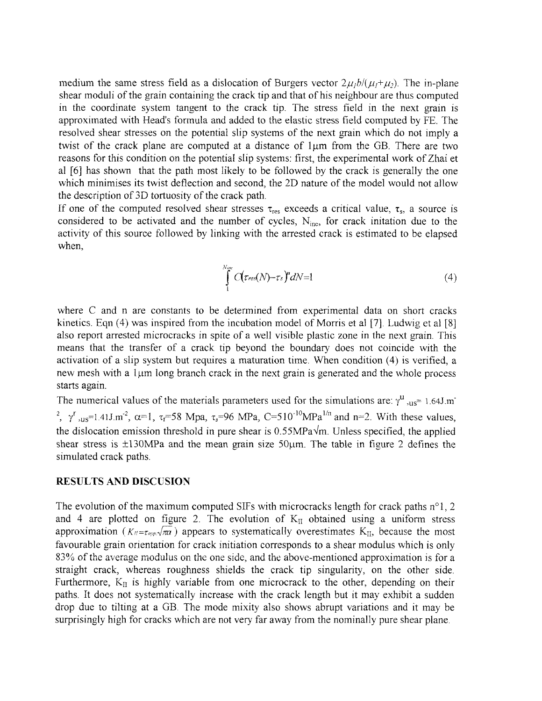medium the same stress field as a dislocation of Burgers vector  $2\mu_1 b/(\mu_1+\mu_2)$ . The in-plane shear moduli of the grain containing the crack tip and that of his neighbour are thus computed in the coordinate system tangent to the crack tip. The stress field in the next grain is approximated with Head's formula and added to the elastic stress ield computed by FE. The resolved shear stresses on the potential slip systems of the next grain which do not imply a twist of the crack plane are computed at a distance of 1um from the GB. There are two reasons for this condition on the potential slip systems: first, the experimental work of Zhai et al [6] has shown that the path most likely to be followed by the crack is generally the one which minimises its twist deflection and second, the 2D nature of the model would not allow the description of 3D tortuosity of the crack path.

If one of the computed resolved shear stresses  $\tau_{res}$  exceeds a critical value,  $\tau_{s}$ , a source is considered to be activated and the number of cycles,  $N_{inc}$ , for crack initation due to the activity of this source followed by linking with the arrested crack is estimated to be elapsed when,

$$
\int_{1}^{N_{inc}} C(\tau_{res}(N)-\tau_{s})^{\prime\prime} dN=1 \tag{4}
$$

where C and n are constants to be determined from experimental data on short cracks kinetics. Eqn  $(4)$  was inspired from the incubation model of Morris et al [7]. Ludwig et al [8] also report arrested microcracks in spite of a well visible plastic zone in the next grain. This means that the transfer of a crack tip beyond the boundary does not coincide with the activation of a slip system but requires a maturation time. When condition 4) is verified, a new mesh with a  $1 \mu m$  long branch crack in the next grain is generated and the whole process starts again.

The numerical values of the materials parameters used for the simulations are:  $\gamma^{\text{u}}$ ,  $_{\text{us}}$ = 1.64J.m<sup>-</sup> <sup>2</sup>,  $\gamma^r$ , us=1.41J.m<sup>-2</sup>,  $\alpha$ =1,  $\tau_f$ =58 Mpa,  $\tau_s$ =96 MPa, C=510<sup>-10</sup>MPa<sup>1/n</sup> and n=2. With these values, the dislocation emission threshold in pure shear is  $0.55MPa\sqrt{m}$ . Unless specified, the applied shear stress is  $\pm 130$ MPa and the mean grain size  $50 \mu$ m. The table in figure 2 defines the simulated crack paths.

#### RESULTS AND DISC USION

The evolution of the maximum computed SIFs with microcracks length for crack paths  $n^{\circ}1$ , 2 and 4 are plotted on figure 2. The evolution of  $K_{II}$  obtained using a uniform stress approximation  $(K_{\ell} = \tau_{app} \sqrt{\pi a})$  appears to systematically overestimates K<sub>II</sub>, because the most favourable grain orientation for crack initiation corresponds to a shear modulus which is only 83% of the average modulus on the one side, and the above-mentioned approximation is for a straight crack, whereas roughness shields the crack tip singularity, on the other side. Furthermore,  $K_{II}$  is highly variable from one microcrack to the other, depending on their paths. It does not systematically increase with the crack length but it may exhibit a sudden drop due to tilting at a GB. The mode mixity also shows abrupt variations and it may be surprisingly high for cracks which are not very far away from the nominally pure shear plane.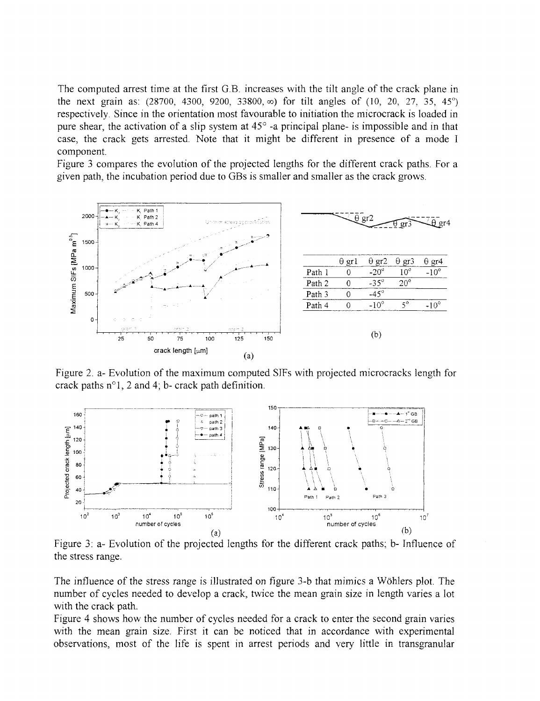The computed arrest time at the first G.B. increases with the tilt angle of the crack plane in the next grain as, 28700, **4300,** 9200, 3800, oo) for tilt angles of (10, 20, 27 35, 45-) respectively. Since in the orientation most favourable to initiation the microcrack is loaded in pure shear, the activation of a slip system at  $45^{\circ}$  -a principal plane- is impossible and in that case, the crack gets arrested. Note that it might be different in presence of a mode I component.

Figure 3 compares the evolution of the projected lengths for the different crack paths. For a given path, the incubation period due to GBs is smaller and smaller as the crack grows.



Figure 2. a- Evolution of the maximum computed SIFs with projected microcracks length for crack paths  $n^{\circ}1$ , 2 and 4; b- crack path definition.



Figure 3: a- Evolution of the projected lengths for the different crack paths; b- Influence of the stress range.

The influence of the stress range is illustrated on figure 3-b that mimics a Wöhlers plot. The number of cycles needed to develop a crack, twice the mean grain size in length varies a lot with the crack path.

Figure 4 shows how the number of cycles needed for a crack to enter the second grain varies with the mean grain size. First it can be noticed that in accordance with experimental observations, most of the life is spent in arrest periods and very little in transgranular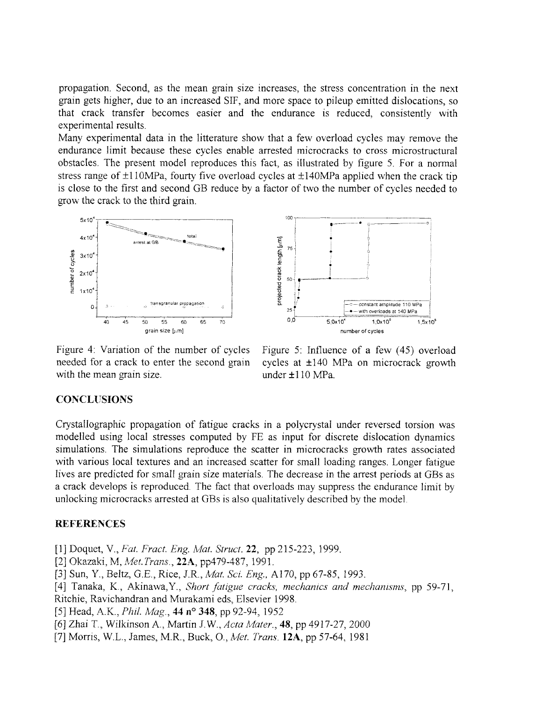propagation. Second, as the mean grain size increases, the stress concentration in the next grain gets higher, due to an increased SIF, and more space to pileup emitted dislocations, so that crack transfer becomes easier and the endurance is reduced, consistently with experimental results.

Many experimental data in the litterature show that a few overload cycles may remove the endurance limit because these cycles enable arrested microcracks to cross microstructural obstacles. The present model reproduces this fact, as illustrated by figure 5. For a normal stress range of  $\pm 110$ MPa, fourty five overload cycles at  $\pm 140$ MPa applied when the crack tip is close to the first and second GB reduce by a factor of two the number of cycles needed to growthe crack to the third grain.



projected crack length [um] 50 **1 110 MPa 120 MPa 120 MPa 140 MPa 140 MPa 140 MPa 140 MPa 140 MPa 140 MPa 140 MPa 140 MPa 140 MPa 140 MPa 140 MPa 140 MPa 140 MPa 140 MPa 140 MPa 140 MPa 140 MPa 140 MPa 140 MPa** 40 5 G 55 60 5 70 0,0 1,ox o I'S.1o, grain size [um] number of cycles

Figure 4: Variation of the number of cycles Figure 5: Influence of a few  $(45)$  overload needed for a crack to enter the second grain cycles at  $\pm 140$  MPa on microcrack growth with the mean grain size. under  $\pm 110 \text{ MPa}$ .

## **CONCLUSIONS**

Crystallographic propagation of fatigue cracks in a polycrystal under reversed torsion was modelled using local stresses computed by FE as input for discrete dislocation dynamics simulations. The simulations reproduce the scatter in microcracks growth rates associated with various local textures and an increased scatter for small loading ranges. Longer fatigue lives are predicted for small grain size materials. The decrease in the arrest periods at GBs as a crack develops is reproduced. The fact that overloads may suppress the endurance limit by unlocking microcracks arrested at GBs is also qualitatively described by the model.

### **REFERENCES**

**[1]** Doquet, V., *Fat. Fract. Eng. Mal. Struct.* **22,** pp 215-223, 1999.

- [2] Okazaki, M, Met. *Trans.*, **22A**, pp479-487, 1991.
- [3] Sun, Y., Beltz, G.E., Rice, J.R., *Mat. Sci. Eg.,* A170, pp 67-85, 993.
- [4] Tanaka, K., Akinawa, Y., *Short fatigue cracks, mechanics and mechanisms*, pp 59-71,
- Ritchie, Ravichandran and Murakami eds, Elsevier 1998.
- [5] Head, A.K., *Phil. Mag.*, **44 n° 348**, pp 92-94, 1952
- [6] Zhal T., Wilkinson A.. Martin J. *W., Acta Mater.,* **48,** pp 4917-27, 2000
- [7] Morris, W.L., James, MR., Buck, O., *Ict. Trans.* **12A,** pp 57-64, 1981